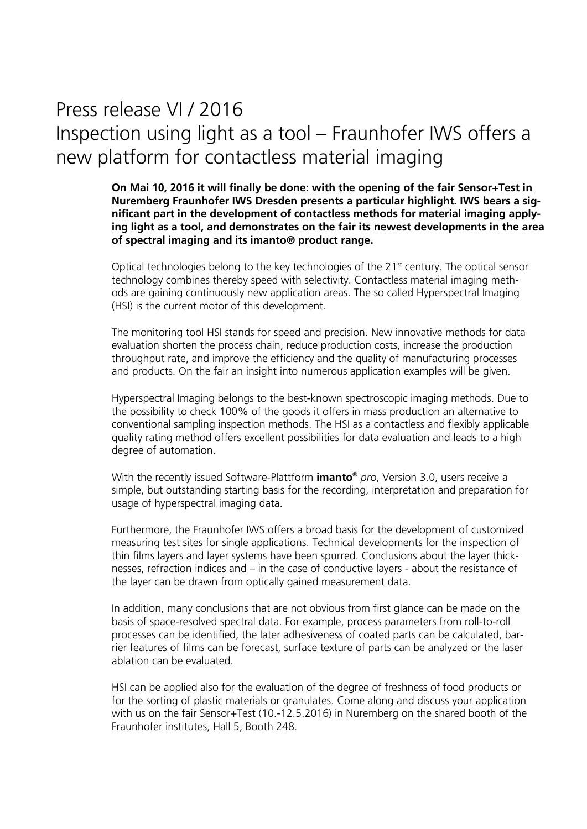## Press release VI / 2016 Inspection using light as a tool – Fraunhofer IWS offers a new platform for contactless material imaging

**On Mai 10, 2016 it will finally be done: with the opening of the fair Sensor+Test in Nuremberg Fraunhofer IWS Dresden presents a particular highlight. IWS bears a significant part in the development of contactless methods for material imaging applying light as a tool, and demonstrates on the fair its newest developments in the area of spectral imaging and its imanto® product range.**

Optical technologies belong to the key technologies of the 21<sup>st</sup> century. The optical sensor technology combines thereby speed with selectivity. Contactless material imaging methods are gaining continuously new application areas. The so called Hyperspectral Imaging (HSI) is the current motor of this development.

The monitoring tool HSI stands for speed and precision. New innovative methods for data evaluation shorten the process chain, reduce production costs, increase the production throughput rate, and improve the efficiency and the quality of manufacturing processes and products. On the fair an insight into numerous application examples will be given.

Hyperspectral Imaging belongs to the best-known spectroscopic imaging methods. Due to the possibility to check 100% of the goods it offers in mass production an alternative to conventional sampling inspection methods. The HSI as a contactless and flexibly applicable quality rating method offers excellent possibilities for data evaluation and leads to a high degree of automation.

With the recently issued Software-Plattform **imanto**® *pro*, Version 3.0, users receive a simple, but outstanding starting basis for the recording, interpretation and preparation for usage of hyperspectral imaging data.

Furthermore, the Fraunhofer IWS offers a broad basis for the development of customized measuring test sites for single applications. Technical developments for the inspection of thin films layers and layer systems have been spurred. Conclusions about the layer thicknesses, refraction indices and – in the case of conductive layers - about the resistance of the layer can be drawn from optically gained measurement data.

In addition, many conclusions that are not obvious from first glance can be made on the basis of space-resolved spectral data. For example, process parameters from roll-to-roll processes can be identified, the later adhesiveness of coated parts can be calculated, barrier features of films can be forecast, surface texture of parts can be analyzed or the laser ablation can be evaluated.

HSI can be applied also for the evaluation of the degree of freshness of food products or for the sorting of plastic materials or granulates. Come along and discuss your application with us on the fair Sensor+Test (10.-12.5.2016) in Nuremberg on the shared booth of the Fraunhofer institutes, Hall 5, Booth 248.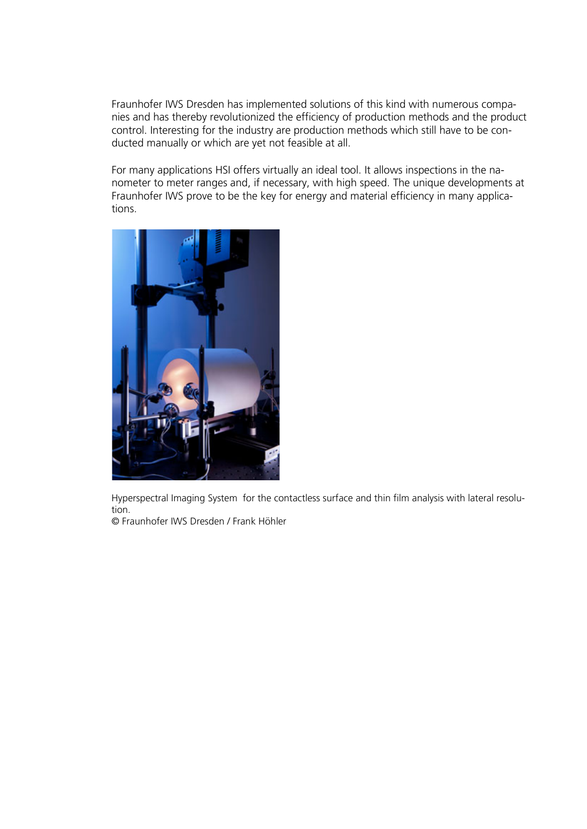Fraunhofer IWS Dresden has implemented solutions of this kind with numerous companies and has thereby revolutionized the efficiency of production methods and the product control. Interesting for the industry are production methods which still have to be conducted manually or which are yet not feasible at all.

For many applications HSI offers virtually an ideal tool. It allows inspections in the nanometer to meter ranges and, if necessary, with high speed. The unique developments at Fraunhofer IWS prove to be the key for energy and material efficiency in many applications.



Hyperspectral Imaging System for the contactless surface and thin film analysis with lateral resolution.

© Fraunhofer IWS Dresden / Frank Höhler